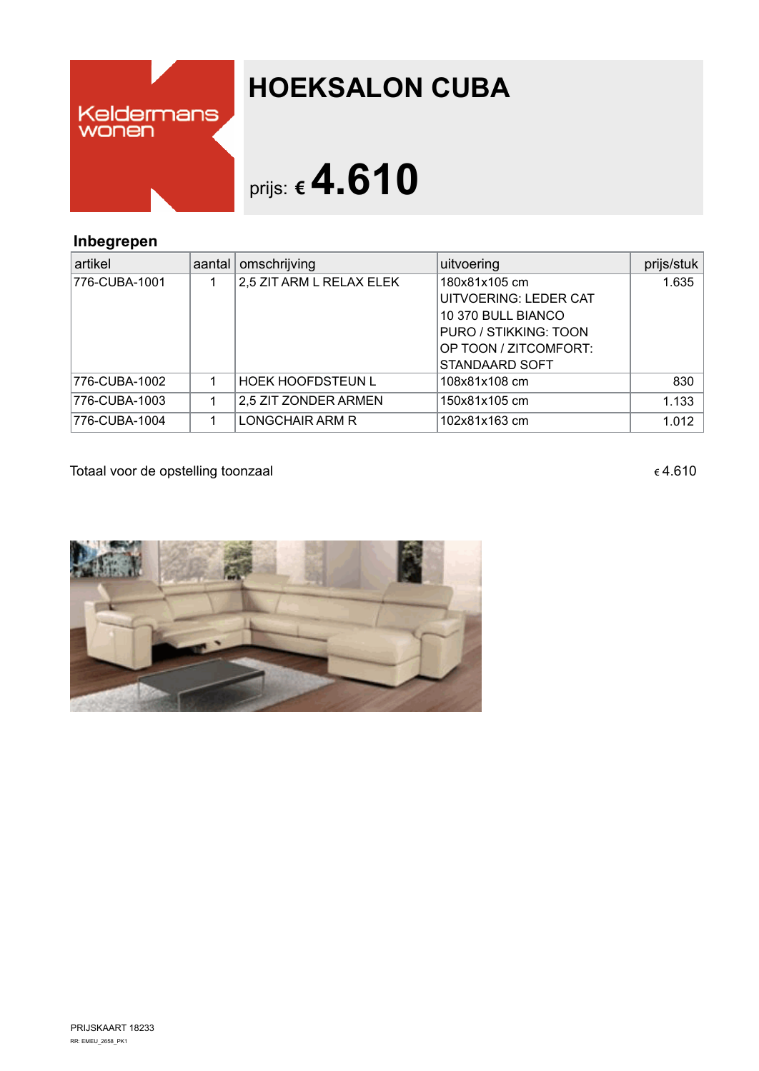

## **HOEKSALON CUBA**

## prijs: **€4.610**

## **Inbegrepen**

| artikel       | aantal | omschrijving             | uitvoering            | prijs/stuk |
|---------------|--------|--------------------------|-----------------------|------------|
| 776-CUBA-1001 |        | 2,5 ZIT ARM L RELAX ELEK | 180x81x105 cm         | 1.635      |
|               |        |                          | UITVOERING: LEDER CAT |            |
|               |        |                          | 10 370 BULL BIANCO    |            |
|               |        |                          | PURO / STIKKING: TOON |            |
|               |        |                          | OP TOON / ZITCOMFORT: |            |
|               |        |                          | <b>STANDAARD SOFT</b> |            |
| 776-CUBA-1002 |        | <b>HOEK HOOFDSTEUN L</b> | 108x81x108 cm         | 830        |
| 776-CUBA-1003 |        | 2.5 ZIT ZONDER ARMEN     | 150x81x105 cm         | 1.133      |
| 776-CUBA-1004 |        | LONGCHAIR ARM R          | 102x81x163 cm         | 1.012      |

Totaal voor de opstelling toonzaal  $\epsilon$ 4.610

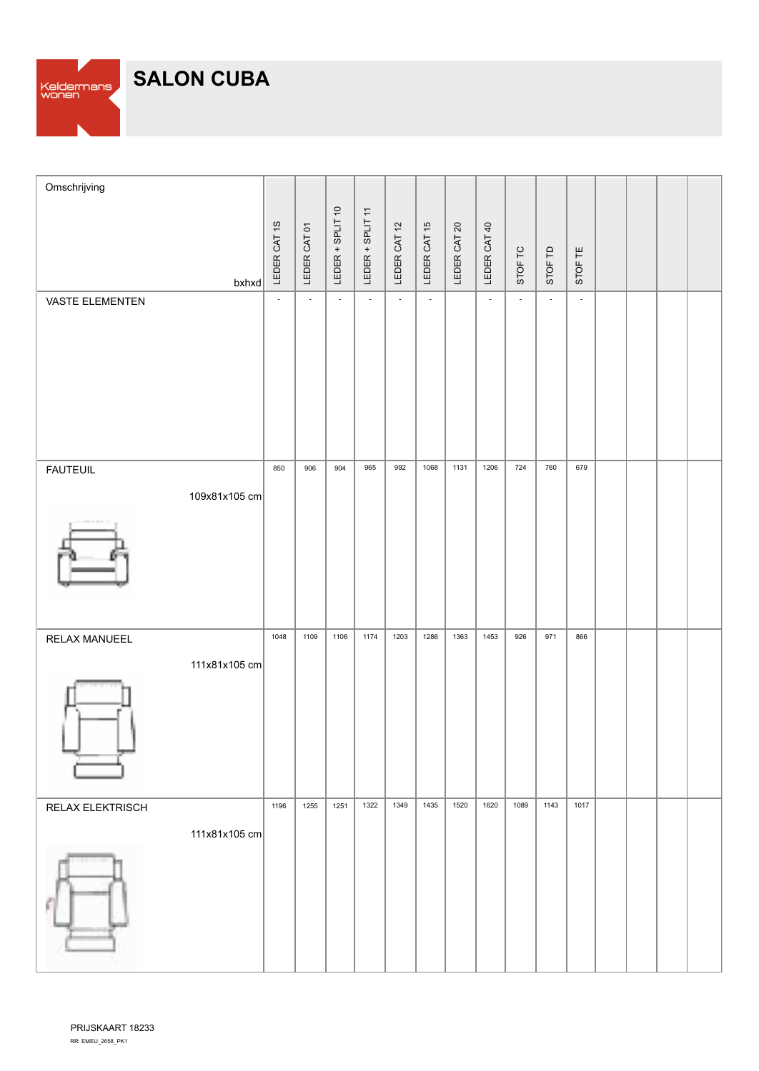**SALON CUBA**

Keldermans<br>wonen

| Omschrijving           |                          |                           |                  |                           |                             |              |              |                             |                |                |                |  |  |
|------------------------|--------------------------|---------------------------|------------------|---------------------------|-----------------------------|--------------|--------------|-----------------------------|----------------|----------------|----------------|--|--|
| $b$ xhxd               | LEDER CAT 1S             | LEDER CAT 01              | LEDER + SPLIT 10 | LEDER + SPLIT 11          | LEDER CAT 12                | LEDER CAT 15 | LEDER CAT 20 | LEDER CAT 40                | STOF TC        | STOF TD        | STOF TE        |  |  |
| <b>VASTE ELEMENTEN</b> | $\overline{\phantom{a}}$ | $\mathbb{Z}^{\mathbb{Z}}$ | $\mathbb{Z}^2$   | $\mathbb{L}^{\mathbb{N}}$ | $\mathcal{L}_{\mathcal{A}}$ | $\sim$       |              | $\mathcal{L}_{\mathcal{A}}$ | $\mathbb{Z}^2$ | $\mathbb{Z}^2$ | $\mathbb{Z}^+$ |  |  |
| <b>FAUTEUIL</b>        | 850                      | 906                       | 904              | 965                       | 992                         | 1068         | 1131         | 1206                        | 724            | 760            | 679            |  |  |
| 109x81x105 cm          |                          |                           |                  |                           |                             |              |              |                             |                |                |                |  |  |
| RELAX MANUEEL          | 1048                     | 1109                      | 1106             | 1174                      | 1203                        | 1286         | 1363         | 1453                        | 926            | 971            | 866            |  |  |
| 111x81x105 cm          |                          |                           |                  |                           |                             |              |              |                             |                |                |                |  |  |
| RELAX ELEKTRISCH       | 1196                     | 1255                      | 1251             | 1322                      | 1349                        | 1435         | 1520         | 1620                        | 1089           | 1143           | 1017           |  |  |
| 111x81x105 cm          |                          |                           |                  |                           |                             |              |              |                             |                |                |                |  |  |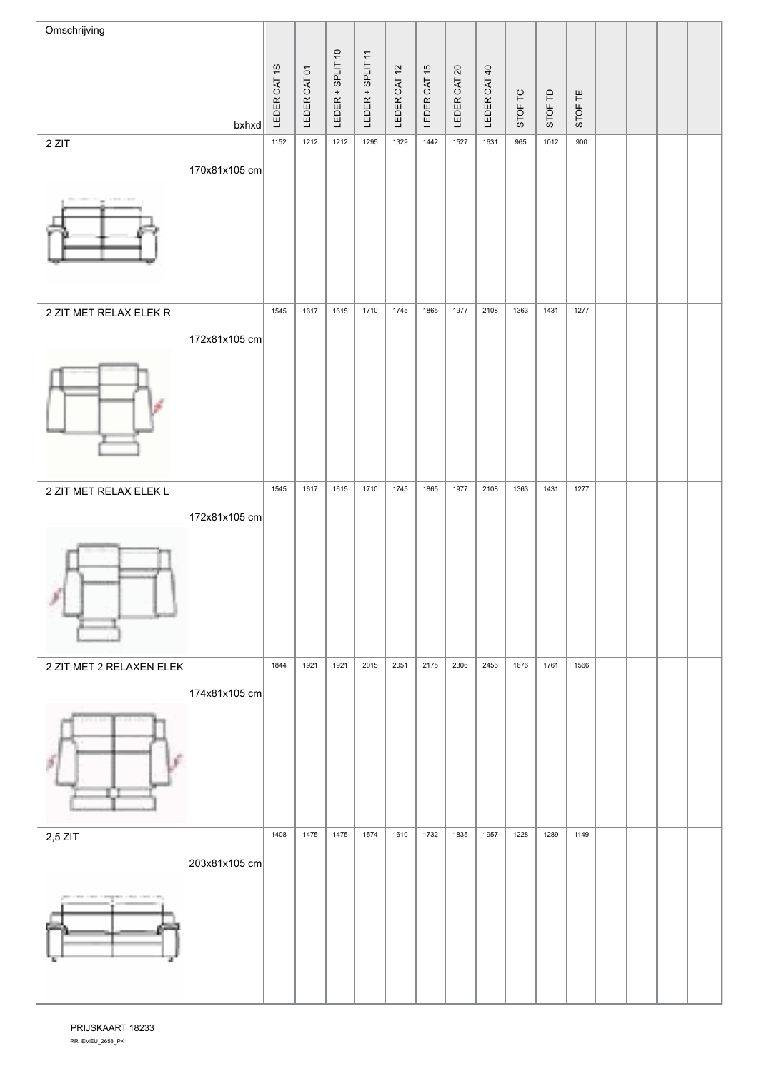| Omschrijving             |               |              |              |                  |                  |              |              |              |              |         |         |         |  |  |
|--------------------------|---------------|--------------|--------------|------------------|------------------|--------------|--------------|--------------|--------------|---------|---------|---------|--|--|
|                          |               |              |              | LEDER + SPLIT 10 | LEDER + SPLIT 11 |              |              |              |              |         |         |         |  |  |
|                          |               | LEDER CAT 1S | LEDER CAT 01 |                  |                  | LEDER CAT 12 | LEDER CAT 15 | LEDER CAT 20 | LEDER CAT 40 | STOF TC | STOF TD | STOF TE |  |  |
| 2 ZIT                    | $b$ xhxd      | 1152         | 1212         | 1212             | 1295             | 1329         | 1442         | 1527         | 1631         | 965     | 1012    | 900     |  |  |
|                          | 170x81x105 cm |              |              |                  |                  |              |              |              |              |         |         |         |  |  |
|                          |               |              |              |                  |                  |              |              |              |              |         |         |         |  |  |
|                          |               |              |              |                  |                  |              |              |              |              |         |         |         |  |  |
| 2 ZIT MET RELAX ELEK R   |               | 1545         | 1617         | 1615             | 1710             | 1745         | 1865         | 1977         | 2108         | 1363    | 1431    | 1277    |  |  |
|                          | 172x81x105 cm |              |              |                  |                  |              |              |              |              |         |         |         |  |  |
|                          |               |              |              |                  |                  |              |              |              |              |         |         |         |  |  |
| 2 ZIT MET RELAX ELEK L   |               | 1545         | 1617         | 1615             | 1710             | 1745         | 1865         | 1977         | 2108         | 1363    | 1431    | 1277    |  |  |
|                          | 172x81x105 cm |              |              |                  |                  |              |              |              |              |         |         |         |  |  |
|                          |               |              |              |                  |                  |              |              |              |              |         |         |         |  |  |
| 2 ZIT MET 2 RELAXEN ELEK |               | 1844         | 1921         | 1921             | 2015             | 2051         | 2175         | 2306         | 2456         | 1676    | 1761    | 1566    |  |  |
|                          | 174x81x105 cm |              |              |                  |                  |              |              |              |              |         |         |         |  |  |
|                          |               |              |              |                  |                  |              |              |              |              |         |         |         |  |  |
| $2,5$ ZIT                |               | 1408         | 1475         | 1475             | 1574             | 1610         | 1732         | 1835         | 1957         | 1228    | 1289    | 1149    |  |  |
|                          | 203x81x105 cm |              |              |                  |                  |              |              |              |              |         |         |         |  |  |
|                          |               |              |              |                  |                  |              |              |              |              |         |         |         |  |  |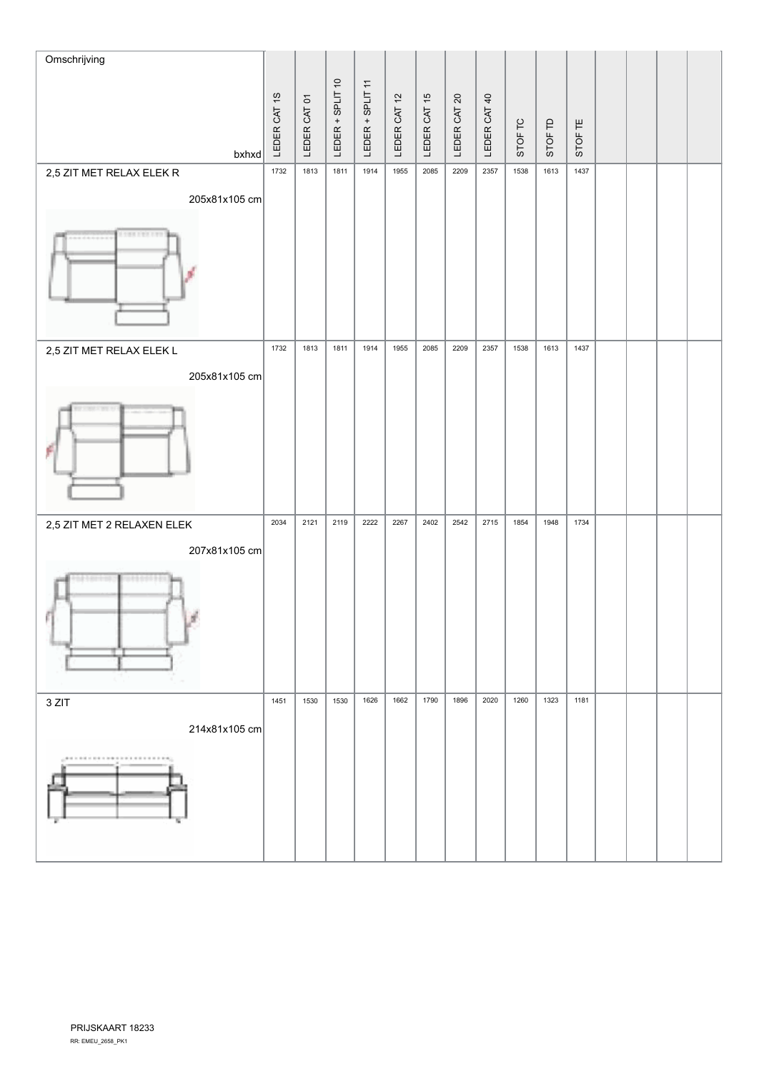| Omschrijving                                                           |              |              |                  |                  |              |              |              |              |         |         |         |  |  |
|------------------------------------------------------------------------|--------------|--------------|------------------|------------------|--------------|--------------|--------------|--------------|---------|---------|---------|--|--|
|                                                                        | LEDER CAT 1S | LEDER CAT 01 | LEDER + SPLIT 10 | LEDER + SPLIT 11 | LEDER CAT 12 | LEDER CAT 15 | LEDER CAT 20 | LEDER CAT 40 | STOF TC | STOF TD | STOF TE |  |  |
| $b$ xhxd<br>2,5 ZIT MET RELAX ELEK R                                   | 1732         | 1813         | 1811             | 1914             | 1955         | 2085         | 2209         | 2357         | 1538    | 1613    | 1437    |  |  |
| 205x81x105 cm                                                          |              |              |                  |                  |              |              |              |              |         |         |         |  |  |
| 100 FEB 197                                                            |              |              |                  |                  |              |              |              |              |         |         |         |  |  |
| 2,5 ZIT MET RELAX ELEK L                                               | 1732         | 1813         | 1811             | 1914             | 1955         | 2085         | 2209         | 2357         | 1538    | 1613    | 1437    |  |  |
| 205x81x105 cm                                                          |              |              |                  |                  |              |              |              |              |         |         |         |  |  |
|                                                                        |              |              |                  |                  |              |              |              |              |         |         |         |  |  |
| 2,5 ZIT MET 2 RELAXEN ELEK                                             | 2034         | 2121         | 2119             | 2222             | 2267         | 2402         | 2542         | 2715         | 1854    | 1948    | 1734    |  |  |
| 207x81x105 cm                                                          |              |              |                  |                  |              |              |              |              |         |         |         |  |  |
| そうかかり?                                                                 |              |              |                  |                  |              |              |              |              |         |         |         |  |  |
| 3 ZIT                                                                  | 1451         | 1530         | 1530             | 1626             | 1662         | 1790         | 1896         | 2020         | 1260    | 1323    | 1181    |  |  |
| 214x81x105 cm<br><b>,000 to 000 to 000 to 000 to 000 to 000 to 000</b> |              |              |                  |                  |              |              |              |              |         |         |         |  |  |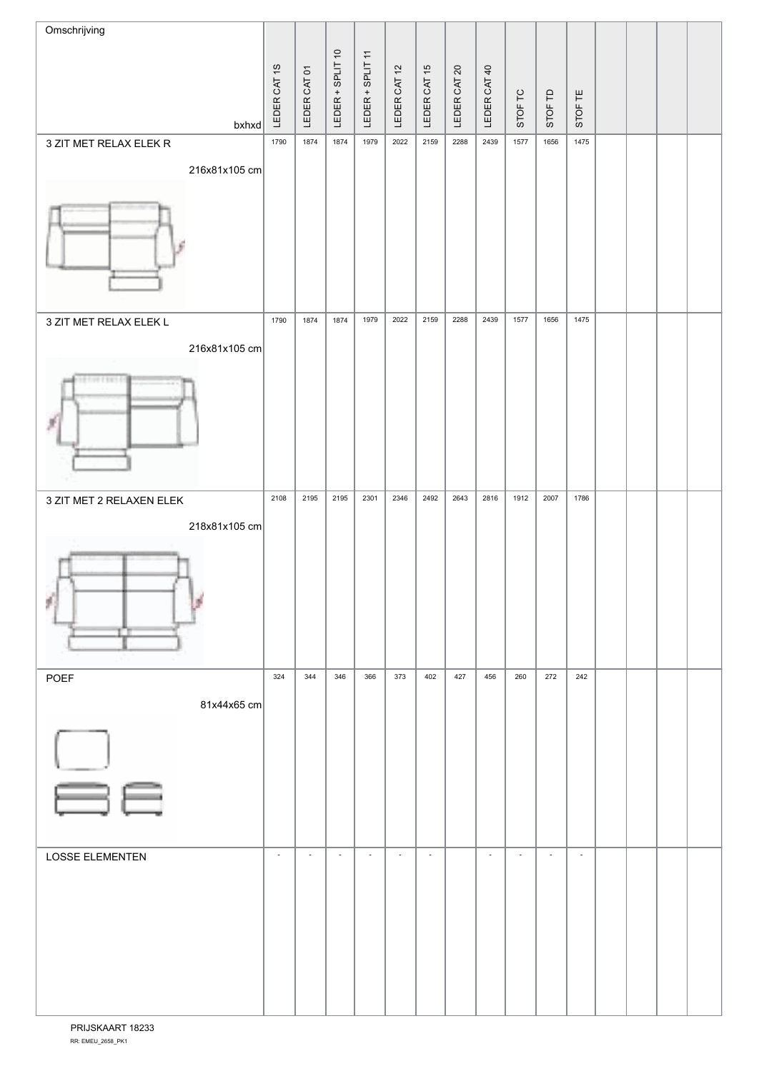| Omschrijving             |                          |                          |                          |                          |                          |                          |           |                          |                          |                          |                |  |  |
|--------------------------|--------------------------|--------------------------|--------------------------|--------------------------|--------------------------|--------------------------|-----------|--------------------------|--------------------------|--------------------------|----------------|--|--|
|                          |                          |                          |                          |                          |                          |                          | $\infty$  |                          |                          |                          |                |  |  |
|                          |                          |                          |                          |                          |                          |                          |           |                          |                          |                          |                |  |  |
| $b$ xhxd                 | LEDER CAT 1S             | LEDER CAT 01             | LEDER + SPLIT 10         | LEDER + SPLIT 11         | LEDER CAT 12             | LEDER CAT 15             | LEDER CAT | LEDER CAT 40             | STOF TC                  | STOF TD                  | STOF TE        |  |  |
| 3 ZIT MET RELAX ELEK R   | 1790                     | 1874                     | 1874                     | 1979                     | 2022                     | 2159                     | 2288      | 2439                     | 1577                     | 1656                     | 1475           |  |  |
| 216x81x105 cm            |                          |                          |                          |                          |                          |                          |           |                          |                          |                          |                |  |  |
|                          |                          |                          |                          |                          |                          |                          |           |                          |                          |                          |                |  |  |
|                          |                          |                          |                          |                          |                          |                          |           |                          |                          |                          |                |  |  |
|                          |                          |                          |                          |                          |                          |                          |           |                          |                          |                          |                |  |  |
| 3 ZIT MET RELAX ELEK L   | 1790                     | 1874                     | 1874                     | 1979                     | 2022                     | 2159                     | 2288      | 2439                     | 1577                     | 1656                     | 1475           |  |  |
| 216x81x105 cm            |                          |                          |                          |                          |                          |                          |           |                          |                          |                          |                |  |  |
| 10011011                 |                          |                          |                          |                          |                          |                          |           |                          |                          |                          |                |  |  |
|                          |                          |                          |                          |                          |                          |                          |           |                          |                          |                          |                |  |  |
| 3 ZIT MET 2 RELAXEN ELEK | 2108                     | 2195                     | 2195                     | 2301                     | 2346                     | 2492                     | 2643      | 2816                     | 1912                     | 2007                     | 1786           |  |  |
| 218x81x105 cm            |                          |                          |                          |                          |                          |                          |           |                          |                          |                          |                |  |  |
| ø                        |                          |                          |                          |                          |                          |                          |           |                          |                          |                          |                |  |  |
| POEF                     | 324                      | 344                      | 346                      | 366                      | 373                      | 402                      | 427       | 456                      | 260                      | 272                      | 242            |  |  |
| 81x44x65 cm              |                          |                          |                          |                          |                          |                          |           |                          |                          |                          |                |  |  |
|                          |                          |                          |                          |                          |                          |                          |           |                          |                          |                          |                |  |  |
| ăe                       |                          |                          |                          |                          |                          |                          |           |                          |                          |                          |                |  |  |
| <b>LOSSE ELEMENTEN</b>   | $\overline{\phantom{a}}$ | $\overline{\phantom{a}}$ | $\overline{\phantom{a}}$ | $\overline{\phantom{a}}$ | $\overline{\phantom{a}}$ | $\overline{\phantom{a}}$ |           | $\overline{\phantom{a}}$ | $\overline{\phantom{a}}$ | $\overline{\phantom{a}}$ | $\blacksquare$ |  |  |
|                          |                          |                          |                          |                          |                          |                          |           |                          |                          |                          |                |  |  |
|                          |                          |                          |                          |                          |                          |                          |           |                          |                          |                          |                |  |  |
|                          |                          |                          |                          |                          |                          |                          |           |                          |                          |                          |                |  |  |
|                          |                          |                          |                          |                          |                          |                          |           |                          |                          |                          |                |  |  |
|                          |                          |                          |                          |                          |                          |                          |           |                          |                          |                          |                |  |  |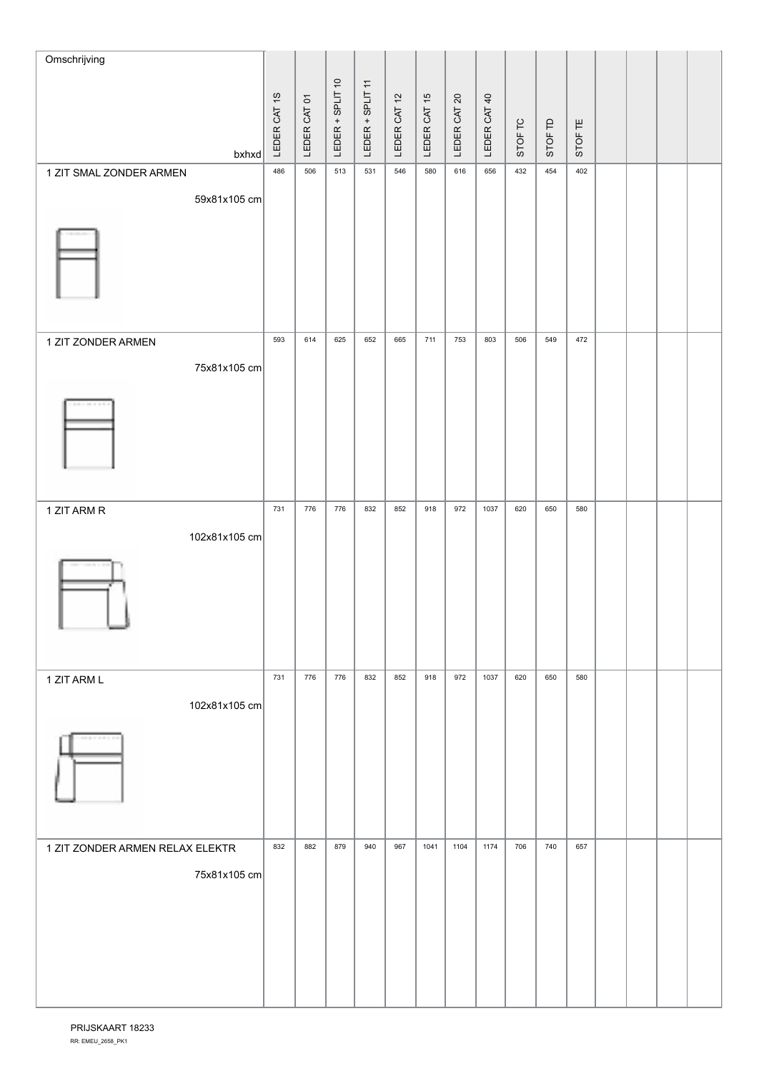| Omschrijving                    |              |              |                  |                  |              |              |              |              |         |         |         |  |  |
|---------------------------------|--------------|--------------|------------------|------------------|--------------|--------------|--------------|--------------|---------|---------|---------|--|--|
|                                 |              |              |                  |                  |              |              |              |              |         |         |         |  |  |
|                                 | LEDER CAT 1S | LEDER CAT 01 | LEDER + SPLIT 10 | LEDER + SPLIT 11 | LEDER CAT 12 | LEDER CAT 15 | LEDER CAT 20 | LEDER CAT 40 |         |         |         |  |  |
| $b$ xhxd                        |              |              |                  |                  |              |              |              |              | STOF TC | STOF TD | STOF TE |  |  |
| 1 ZIT SMAL ZONDER ARMEN         | 486          | 506          | 513              | 531              | 546          | 580          | 616          | 656          | 432     | 454     | 402     |  |  |
| 59x81x105 cm                    |              |              |                  |                  |              |              |              |              |         |         |         |  |  |
|                                 |              |              |                  |                  |              |              |              |              |         |         |         |  |  |
| 1 ZIT ZONDER ARMEN              | 593          | 614          | 625              | 652              | 665          | 711          | 753          | 803          | 506     | 549     | 472     |  |  |
| 75x81x105 cm                    |              |              |                  |                  |              |              |              |              |         |         |         |  |  |
|                                 |              |              |                  |                  |              |              |              |              |         |         |         |  |  |
| 1 ZIT ARM R                     | 731          | 776          | 776              | 832              | 852          | 918          | 972          | 1037         | 620     | 650     | 580     |  |  |
| 102x81x105 cm                   |              |              |                  |                  |              |              |              |              |         |         |         |  |  |
|                                 |              |              |                  |                  |              |              |              |              |         |         |         |  |  |
| 1 ZIT ARM L                     | 731          | 776          | 776              | 832              | 852          | 918          | 972          | 1037         | 620     | 650     | 580     |  |  |
| 102x81x105 cm                   |              |              |                  |                  |              |              |              |              |         |         |         |  |  |
| <b><i>HAYREY</i></b>            |              |              |                  |                  |              |              |              |              |         |         |         |  |  |
| 1 ZIT ZONDER ARMEN RELAX ELEKTR | 832          | 882          | 879              | 940              | 967          | 1041         | 1104         | 1174         | 706     | 740     | 657     |  |  |
| 75x81x105 cm                    |              |              |                  |                  |              |              |              |              |         |         |         |  |  |
|                                 |              |              |                  |                  |              |              |              |              |         |         |         |  |  |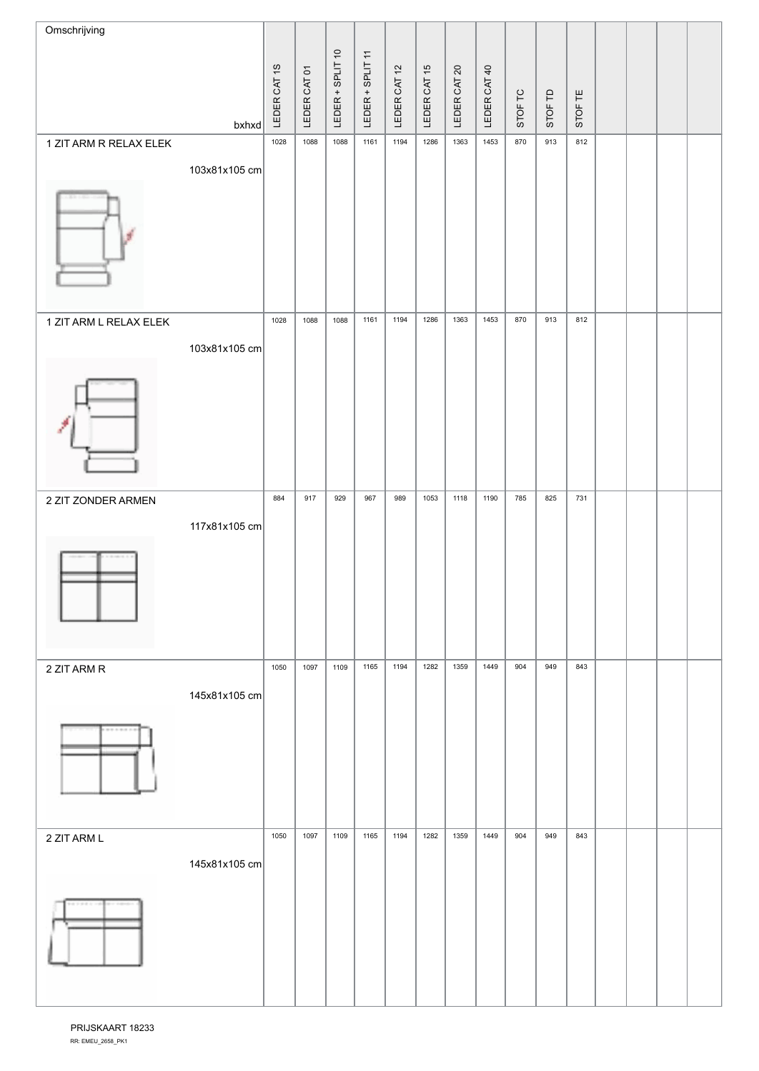| Omschrijving           |               |              |              |                  |                  |              |              |                          |              |         |         |         |  |  |
|------------------------|---------------|--------------|--------------|------------------|------------------|--------------|--------------|--------------------------|--------------|---------|---------|---------|--|--|
|                        |               |              |              | LEDER + SPLIT 10 |                  |              |              | $\overline{\mathcal{S}}$ |              |         |         |         |  |  |
|                        |               | LEDER CAT 1S | LEDER CAT 01 |                  | LEDER + SPLIT 11 | LEDER CAT 12 | LEDER CAT 15 | LEDER CAT                | LEDER CAT 40 | STOF TC |         |         |  |  |
|                        | $b$ xhxd      |              |              |                  |                  |              |              |                          |              |         | STOF TD | STOF TE |  |  |
| 1 ZIT ARM R RELAX ELEK |               | 1028         | 1088         | 1088             | 1161             | 1194         | 1286         | 1363                     | 1453         | 870     | 913     | 812     |  |  |
|                        | 103x81x105 cm |              |              |                  |                  |              |              |                          |              |         |         |         |  |  |
|                        |               |              |              |                  |                  |              |              |                          |              |         |         |         |  |  |
| 1 ZIT ARM L RELAX ELEK |               | 1028         | 1088         | 1088             | 1161             | 1194         | 1286         | 1363                     | 1453         | 870     | 913     | 812     |  |  |
|                        | 103x81x105 cm |              |              |                  |                  |              |              |                          |              |         |         |         |  |  |
|                        |               |              |              |                  |                  |              |              |                          |              |         |         |         |  |  |
| 2 ZIT ZONDER ARMEN     |               | 884          | 917          | 929              | 967              | 989          | 1053         | 1118                     | 1190         | 785     | 825     | 731     |  |  |
|                        | 117x81x105 cm |              |              |                  |                  |              |              |                          |              |         |         |         |  |  |
| 2 ZIT ARM R            |               | 1050         | 1097         | 1109             | 1165             | 1194         | 1282         | 1359                     | 1449         | 904     | 949     | 843     |  |  |
|                        | 145x81x105 cm |              |              |                  |                  |              |              |                          |              |         |         |         |  |  |
|                        |               |              |              |                  |                  |              |              |                          |              |         |         |         |  |  |
| 2 ZIT ARM L            |               | 1050         | 1097         | 1109             | 1165             | 1194         | 1282         | 1359                     | 1449         | 904     | 949     | 843     |  |  |
|                        | 145x81x105 cm |              |              |                  |                  |              |              |                          |              |         |         |         |  |  |
|                        |               |              |              |                  |                  |              |              |                          |              |         |         |         |  |  |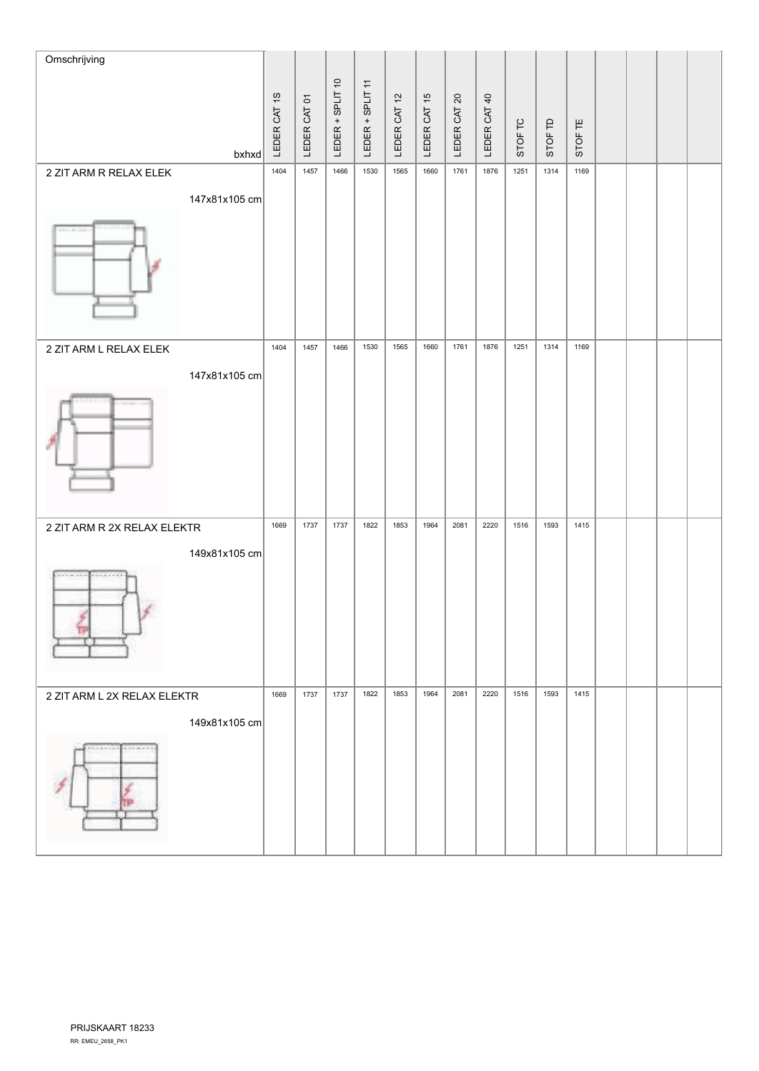| Omschrijving                         |               | LEDER CAT 1S | LEDER CAT 01 | LEDER + SPLIT 10 | LEDER + SPLIT 11 | LEDER CAT 12 | LEDER CAT 15 | LEDER CAT 20 | LEDER CAT 40 |         |         |         |  |  |
|--------------------------------------|---------------|--------------|--------------|------------------|------------------|--------------|--------------|--------------|--------------|---------|---------|---------|--|--|
|                                      | $b$ xhxd      |              |              |                  |                  |              |              |              |              | STOF TC | STOF TD | STOF TE |  |  |
| 2 ZIT ARM R RELAX ELEK<br>Literature | 147x81x105 cm | 1404         | 1457         | 1466             | 1530             | 1565         | 1660         | 1761         | 1876         | 1251    | 1314    | 1169    |  |  |
| 2 ZIT ARM L RELAX ELEK               | 147x81x105 cm | 1404         | 1457         | 1466             | 1530             | 1565         | 1660         | 1761         | 1876         | 1251    | 1314    | 1169    |  |  |
| 2 ZIT ARM R 2X RELAX ELEKTR          | 149x81x105 cm | 1669         | 1737         | 1737             | 1822             | 1853         | 1964         | 2081         | 2220         | 1516    | 1593    | 1415    |  |  |
| 2 ZIT ARM L 2X RELAX ELEKTR          | 149x81x105 cm | 1669         | 1737         | 1737             | 1822             | 1853         | 1964         | 2081         | 2220         | 1516    | 1593    | 1415    |  |  |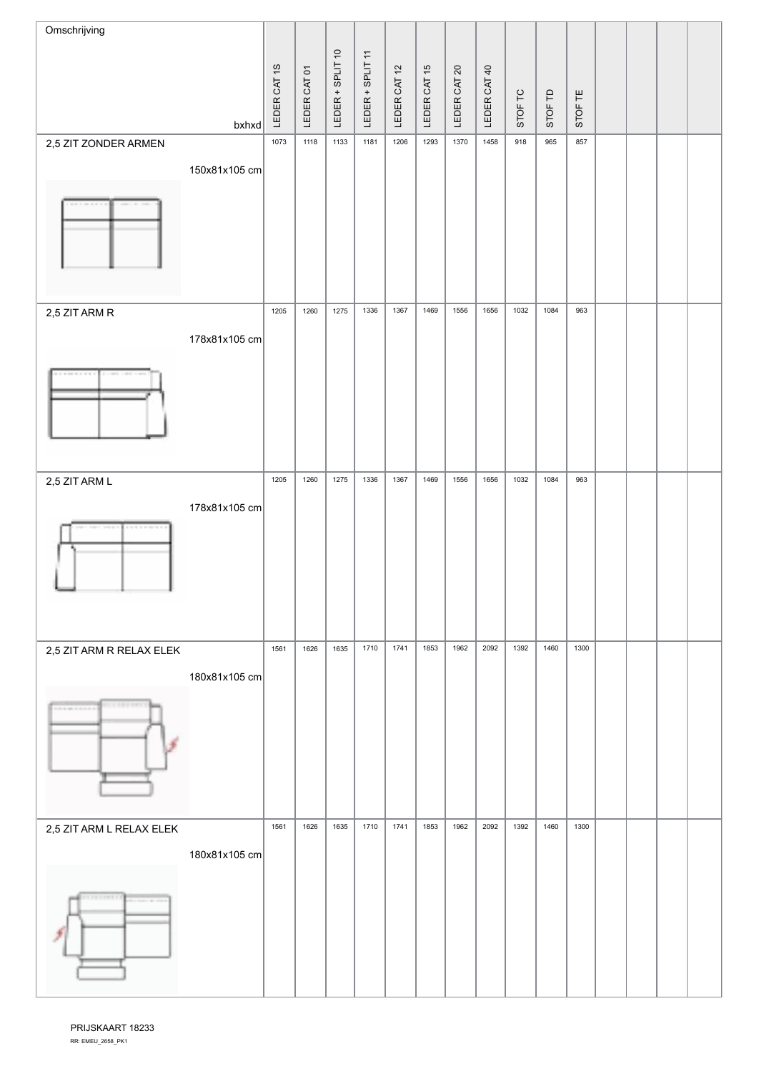| Omschrijving             |               |              |              |                  |                  |              |              |              |              |         |         |         |  |  |
|--------------------------|---------------|--------------|--------------|------------------|------------------|--------------|--------------|--------------|--------------|---------|---------|---------|--|--|
|                          |               |              |              | LEDER + SPLIT 10 |                  |              |              |              |              |         |         |         |  |  |
|                          |               | LEDER CAT 1S | LEDER CAT 01 |                  | LEDER + SPLIT 11 | LEDER CAT 12 | LEDER CAT 15 | LEDER CAT 20 | LEDER CAT 40 | STOF TC | STOF TD | STOF TE |  |  |
|                          | bxhxd         |              |              |                  |                  |              |              |              |              |         |         |         |  |  |
| 2,5 ZIT ZONDER ARMEN     |               | 1073         | 1118         | 1133             | 1181             | 1206         | 1293         | 1370         | 1458         | 918     | 965     | 857     |  |  |
|                          | 150x81x105 cm |              |              |                  |                  |              |              |              |              |         |         |         |  |  |
|                          |               |              |              |                  |                  |              |              |              |              |         |         |         |  |  |
| 2,5 ZIT ARM R            |               | 1205         | 1260         | 1275             | 1336             | 1367         | 1469         | 1556         | 1656         | 1032    | 1084    | 963     |  |  |
|                          | 178x81x105 cm |              |              |                  |                  |              |              |              |              |         |         |         |  |  |
|                          |               |              |              |                  |                  |              |              |              |              |         |         |         |  |  |
| 2,5 ZIT ARM L            |               | 1205         | 1260         | 1275             | 1336             | 1367         | 1469         | 1556         | 1656         | 1032    | 1084    | 963     |  |  |
| <b>STATISTIC</b>         | 178x81x105 cm |              |              |                  |                  |              |              |              |              |         |         |         |  |  |
| 2,5 ZIT ARM R RELAX ELEK |               | 1561         | 1626         | 1635             | 1710             | 1741         | 1853         | 1962         | 2092         | 1392    | 1460    | 1300    |  |  |
| -------                  | 180x81x105 cm |              |              |                  |                  |              |              |              |              |         |         |         |  |  |
| 2,5 ZIT ARM L RELAX ELEK |               | 1561         | 1626         | 1635             | 1710             | 1741         | 1853         | 1962         | 2092         | 1392    | 1460    | 1300    |  |  |
| FY TIMES                 | 180x81x105 cm |              |              |                  |                  |              |              |              |              |         |         |         |  |  |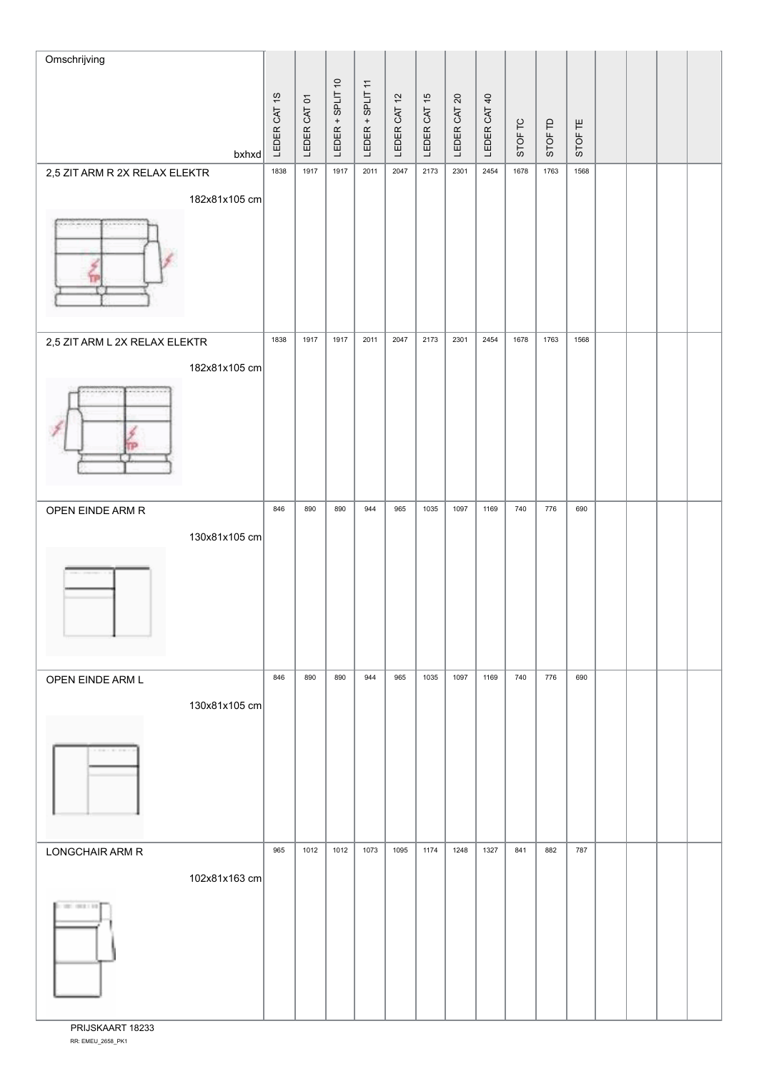| Omschrijving                                                                                                                     |               |              |              |                  |                  |              |              |              |              |         |         |         |  |  |
|----------------------------------------------------------------------------------------------------------------------------------|---------------|--------------|--------------|------------------|------------------|--------------|--------------|--------------|--------------|---------|---------|---------|--|--|
|                                                                                                                                  |               |              |              | LEDER + SPLIT 10 |                  |              |              |              |              |         |         |         |  |  |
|                                                                                                                                  |               | LEDER CAT 1S | LEDER CAT 01 |                  | LEDER + SPLIT 11 | LEDER CAT 12 | LEDER CAT 15 | LEDER CAT 20 | LEDER CAT 40 | STOF TC | STOF TD | STOF TE |  |  |
|                                                                                                                                  | $b$ xhxd      |              |              |                  |                  |              |              |              |              |         |         |         |  |  |
| 2,5 ZIT ARM R 2X RELAX ELEKTR                                                                                                    |               | 1838         | 1917         | 1917             | 2011             | 2047         | 2173         | 2301         | 2454         | 1678    | 1763    | 1568    |  |  |
|                                                                                                                                  | 182x81x105 cm |              |              |                  |                  |              |              |              |              |         |         |         |  |  |
|                                                                                                                                  |               |              |              |                  |                  |              |              |              |              |         |         |         |  |  |
| 2,5 ZIT ARM L 2X RELAX ELEKTR                                                                                                    |               | 1838         | 1917         | 1917             | 2011             | 2047         | 2173         | 2301         | 2454         | 1678    | 1763    | 1568    |  |  |
|                                                                                                                                  | 182x81x105 cm |              |              |                  |                  |              |              |              |              |         |         |         |  |  |
|                                                                                                                                  |               |              |              |                  |                  |              |              |              |              |         |         |         |  |  |
| OPEN EINDE ARM R                                                                                                                 |               | 846          | 890          | 890              | 944              | 965          | 1035         | 1097         | 1169         | 740     | 776     | 690     |  |  |
|                                                                                                                                  | 130x81x105 cm |              |              |                  |                  |              |              |              |              |         |         |         |  |  |
|                                                                                                                                  |               |              |              |                  |                  |              |              |              |              |         |         |         |  |  |
| OPEN EINDE ARM L                                                                                                                 |               | 846          | 890          | 890              | 944              | 965          | 1035         | 1097         | 1169         | 740     | 776     | 690     |  |  |
| $\label{eq:1.1} \begin{split} U_{1}^{1} & = U_{2}^{1} \times \ldots \times U_{n}^{n} \times \ldots \times U_{n}^{n} \end{split}$ | 130x81x105 cm |              |              |                  |                  |              |              |              |              |         |         |         |  |  |
|                                                                                                                                  |               |              |              |                  |                  |              |              |              |              |         |         |         |  |  |
| LONGCHAIR ARM R                                                                                                                  |               | 965          | 1012         | 1012             | 1073             | 1095         | 1174         | 1248         | 1327         | 841     | 882     | 787     |  |  |
| britti con 101                                                                                                                   | 102x81x163 cm |              |              |                  |                  |              |              |              |              |         |         |         |  |  |

RR: EMEU\_2658\_PK1 PRIJSKAART 18233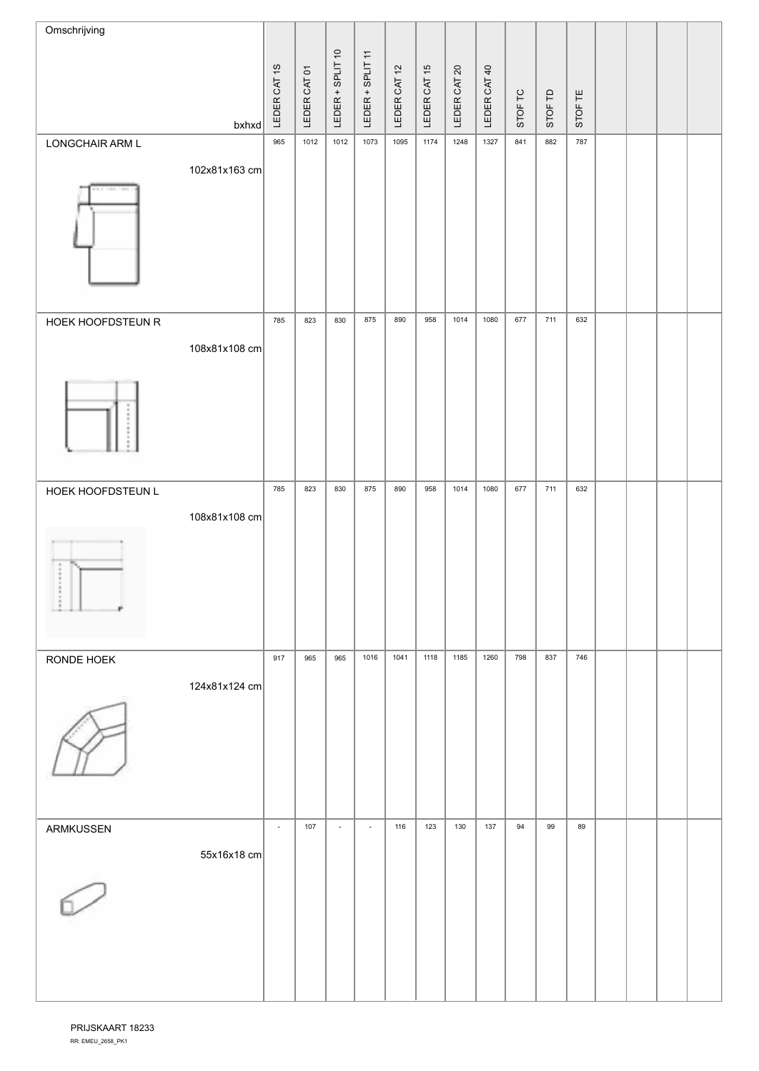| Omschrijving      |               |                          |              |                          |                          |              |              |                 |              |         |         |         |  |  |
|-------------------|---------------|--------------------------|--------------|--------------------------|--------------------------|--------------|--------------|-----------------|--------------|---------|---------|---------|--|--|
|                   |               |                          |              | LEDER + SPLIT 10         | LEDER + SPLIT 11         |              |              | $\overline{20}$ |              |         |         |         |  |  |
|                   |               | LEDER CAT 1S             | LEDER CAT 01 |                          |                          | LEDER CAT 12 | LEDER CAT 15 | LEDER CAT       | LEDER CAT 40 | STOF TC | STOF TD | STOF TE |  |  |
|                   | $b$ xhxd      |                          |              |                          |                          |              |              |                 |              |         |         |         |  |  |
| LONGCHAIR ARM L   |               | 965                      | 1012         | 1012                     | 1073                     | 1095         | 1174         | 1248            | 1327         | 841     | 882     | 787     |  |  |
|                   | 102x81x163 cm |                          |              |                          |                          |              |              |                 |              |         |         |         |  |  |
|                   |               |                          |              |                          |                          |              |              |                 |              |         |         |         |  |  |
| HOEK HOOFDSTEUN R |               | 785                      | 823          | 830                      | 875                      | 890          | 958          | 1014            | 1080         | 677     | 711     | 632     |  |  |
|                   | 108x81x108 cm |                          |              |                          |                          |              |              |                 |              |         |         |         |  |  |
|                   |               |                          |              |                          |                          |              |              |                 |              |         |         |         |  |  |
| HOEK HOOFDSTEUN L |               | 785                      | 823          | 830                      | 875                      | 890          | 958          | 1014            | 1080         | 677     | 711     | 632     |  |  |
|                   | 108x81x108 cm |                          |              |                          |                          |              |              |                 |              |         |         |         |  |  |
|                   |               |                          |              |                          |                          |              |              |                 |              |         |         |         |  |  |
| RONDE HOEK        |               | 917                      | 965          | 965                      | 1016                     | 1041         | 1118         | 1185            | 1260         | 798     | 837     | 746     |  |  |
|                   | 124x81x124 cm |                          |              |                          |                          |              |              |                 |              |         |         |         |  |  |
| ARMKUSSEN         |               | $\overline{\phantom{a}}$ | 107          | $\overline{\phantom{a}}$ | $\overline{\phantom{a}}$ | 116          | 123          | 130             | 137          | 94      | 99      | 89      |  |  |
|                   | 55x16x18 cm   |                          |              |                          |                          |              |              |                 |              |         |         |         |  |  |
|                   |               |                          |              |                          |                          |              |              |                 |              |         |         |         |  |  |